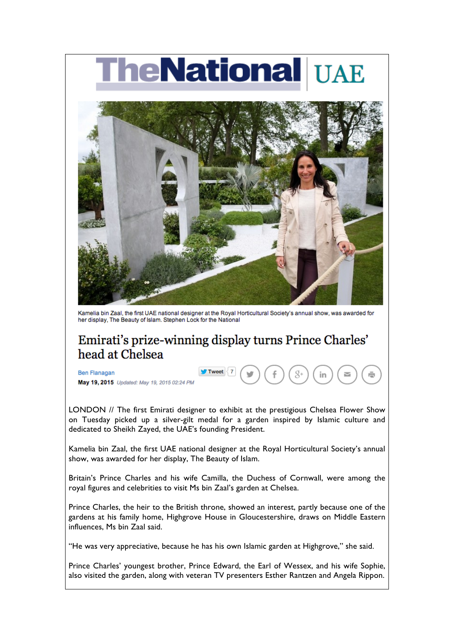## **heNational UAE**



Kamelia bin Zaal, the first UAE national designer at the Royal Horticultural Society's annual show, was awarded for her display, The Beauty of Islam. Stephen Lock for the National

## Emirati's prize-winning display turns Prince Charles' head at Chelsea

Tweet

**Ben Flanagan** May 19, 2015 Updated: May 19, 2015 02:24 PM

LONDON // The first Emirati designer to exhibit at the prestigious Chelsea Flower Show on Tuesday picked up a silver-gilt medal for a garden inspired by Islamic culture and dedicated to Sheikh Zayed, the UAE's founding President.

Kamelia bin Zaal, the first UAE national designer at the Royal Horticultural Society's annual show, was awarded for her display, The Beauty of Islam.

Britain's Prince Charles and his wife Camilla, the Duchess of Cornwall, were among the royal figures and celebrities to visit Ms bin Zaal's garden at Chelsea.

Prince Charles, the heir to the British throne, showed an interest, partly because one of the gardens at his family home, Highgrove House in Gloucestershire, draws on Middle Eastern influences, Ms bin Zaal said.

"He was very appreciative, because he has his own Islamic garden at Highgrove," she said.

Prince Charles' youngest brother, Prince Edward, the Earl of Wessex, and his wife Sophie, also visited the garden, along with veteran TV presenters Esther Rantzen and Angela Rippon.